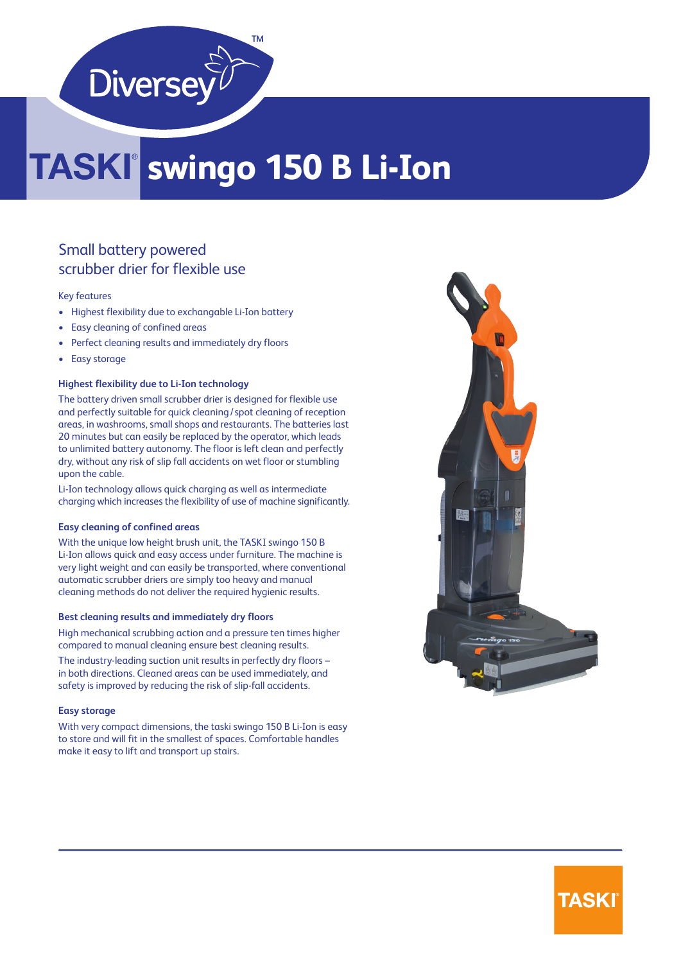

## **swingo 150 B Li-Ion**

#### Small battery powered scrubber drier for flexible use

#### Key features

- Highest flexibility due to exchangable Li-Ion battery
- Easy cleaning of confined areas
- Perfect cleaning results and immediately dry floors
- Easy storage

#### **Highest flexibility due to Li-Ion technology**

The battery driven small scrubber drier is designed for flexible use and perfectly suitable for quick cleaning/ spot cleaning of reception areas, in washrooms, small shops and restaurants. The batteries last 20 minutes but can easily be replaced by the operator, which leads to unlimited battery autonomy. The floor is left clean and perfectly dry, without any risk of slip fall accidents on wet floor or stumbling upon the cable.

Li-Ion technology allows quick charging as well as intermediate charging which increases the flexibility of use of machine significantly.

#### **Easy cleaning of confined areas**

With the unique low height brush unit, the TASKI swingo 150 B Li-Ion allows quick and easy access under furniture. The machine is very light weight and can easily be transported, where conventional automatic scrubber driers are simply too heavy and manual cleaning methods do not deliver the required hygienic results.

#### **Best cleaning results and immediately dry floors**

High mechanical scrubbing action and a pressure ten times higher compared to manual cleaning ensure best cleaning results.

The industry-leading suction unit results in perfectly dry floors – in both directions. Cleaned areas can be used immediately, and safety is improved by reducing the risk of slip-fall accidents.

#### **Easy storage**

With very compact dimensions, the taski swingo 150 B Li-Ion is easy to store and will fit in the smallest of spaces. Comfortable handles make it easy to lift and transport up stairs.



### **TASKI**